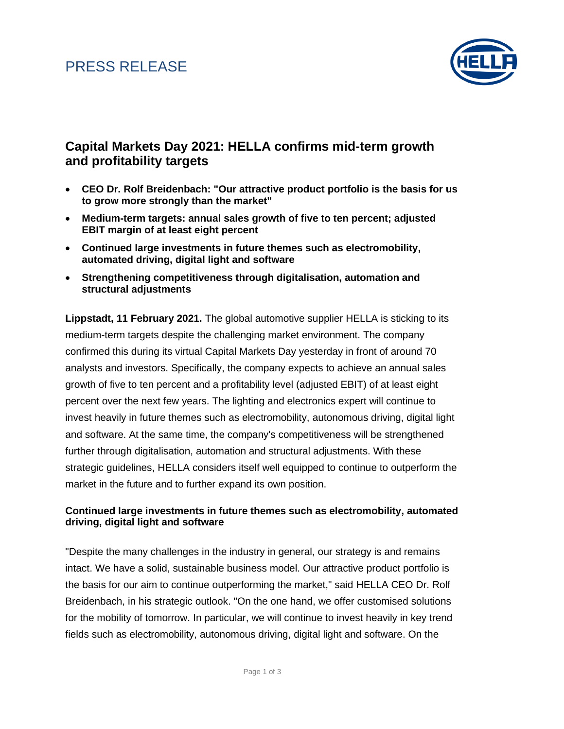## PRESS RELEASE



### **Capital Markets Day 2021: HELLA confirms mid-term growth and profitability targets**

- **CEO Dr. Rolf Breidenbach: "Our attractive product portfolio is the basis for us to grow more strongly than the market"**
- **Medium-term targets: annual sales growth of five to ten percent; adjusted EBIT margin of at least eight percent**
- **Continued large investments in future themes such as electromobility, automated driving, digital light and software**
- **Strengthening competitiveness through digitalisation, automation and structural adjustments**

**Lippstadt, 11 February 2021.** The global automotive supplier HELLA is sticking to its medium-term targets despite the challenging market environment. The company confirmed this during its virtual Capital Markets Day yesterday in front of around 70 analysts and investors. Specifically, the company expects to achieve an annual sales growth of five to ten percent and a profitability level (adjusted EBIT) of at least eight percent over the next few years. The lighting and electronics expert will continue to invest heavily in future themes such as electromobility, autonomous driving, digital light and software. At the same time, the company's competitiveness will be strengthened further through digitalisation, automation and structural adjustments. With these strategic guidelines, HELLA considers itself well equipped to continue to outperform the market in the future and to further expand its own position.

### **Continued large investments in future themes such as electromobility, automated driving, digital light and software**

"Despite the many challenges in the industry in general, our strategy is and remains intact. We have a solid, sustainable business model. Our attractive product portfolio is the basis for our aim to continue outperforming the market," said HELLA CEO Dr. Rolf Breidenbach, in his strategic outlook. "On the one hand, we offer customised solutions for the mobility of tomorrow. In particular, we will continue to invest heavily in key trend fields such as electromobility, autonomous driving, digital light and software. On the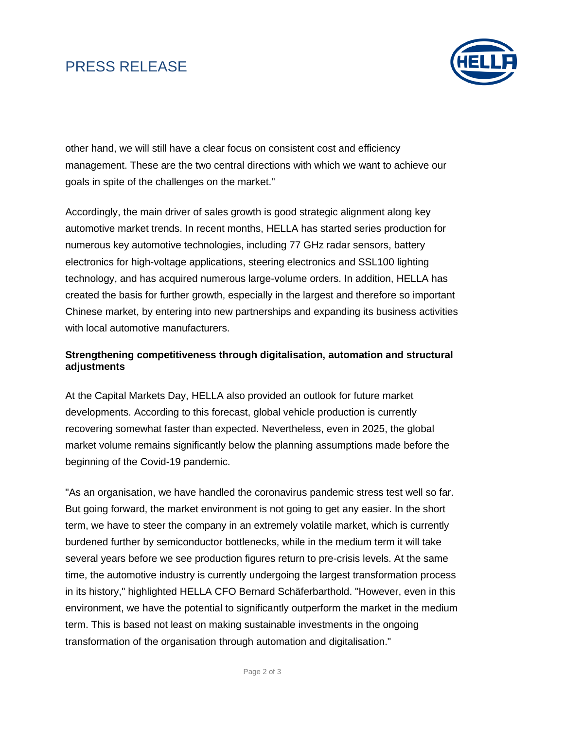# PRESS RELEASE



other hand, we will still have a clear focus on consistent cost and efficiency management. These are the two central directions with which we want to achieve our goals in spite of the challenges on the market."

Accordingly, the main driver of sales growth is good strategic alignment along key automotive market trends. In recent months, HELLA has started series production for numerous key automotive technologies, including 77 GHz radar sensors, battery electronics for high-voltage applications, steering electronics and SSL100 lighting technology, and has acquired numerous large-volume orders. In addition, HELLA has created the basis for further growth, especially in the largest and therefore so important Chinese market, by entering into new partnerships and expanding its business activities with local automotive manufacturers.

### **Strengthening competitiveness through digitalisation, automation and structural adjustments**

At the Capital Markets Day, HELLA also provided an outlook for future market developments. According to this forecast, global vehicle production is currently recovering somewhat faster than expected. Nevertheless, even in 2025, the global market volume remains significantly below the planning assumptions made before the beginning of the Covid-19 pandemic.

"As an organisation, we have handled the coronavirus pandemic stress test well so far. But going forward, the market environment is not going to get any easier. In the short term, we have to steer the company in an extremely volatile market, which is currently burdened further by semiconductor bottlenecks, while in the medium term it will take several years before we see production figures return to pre-crisis levels. At the same time, the automotive industry is currently undergoing the largest transformation process in its history," highlighted HELLA CFO Bernard Schäferbarthold. "However, even in this environment, we have the potential to significantly outperform the market in the medium term. This is based not least on making sustainable investments in the ongoing transformation of the organisation through automation and digitalisation."